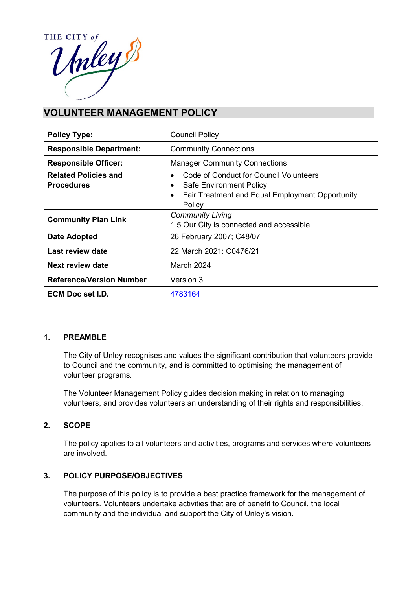

# **VOLUNTEER MANAGEMENT POLICY**

| <b>Policy Type:</b>                              | <b>Council Policy</b>                                                                                                                                           |
|--------------------------------------------------|-----------------------------------------------------------------------------------------------------------------------------------------------------------------|
| <b>Responsible Department:</b>                   | <b>Community Connections</b>                                                                                                                                    |
| <b>Responsible Officer:</b>                      | <b>Manager Community Connections</b>                                                                                                                            |
| <b>Related Policies and</b><br><b>Procedures</b> | Code of Conduct for Council Volunteers<br>$\bullet$<br><b>Safe Environment Policy</b><br>Fair Treatment and Equal Employment Opportunity<br>$\bullet$<br>Policy |
| <b>Community Plan Link</b>                       | <b>Community Living</b><br>1.5 Our City is connected and accessible.                                                                                            |
| Date Adopted                                     | 26 February 2007; C48/07                                                                                                                                        |
| Last review date                                 | 22 March 2021: C0476/21                                                                                                                                         |
| Next review date                                 | March 2024                                                                                                                                                      |
| <b>Reference/Version Number</b>                  | Version 3                                                                                                                                                       |
| ECM Doc set I.D.                                 | 4783164                                                                                                                                                         |

## **1. PREAMBLE**

The City of Unley recognises and values the significant contribution that volunteers provide to Council and the community, and is committed to optimising the management of volunteer programs.

The Volunteer Management Policy guides decision making in relation to managing volunteers, and provides volunteers an understanding of their rights and responsibilities.

#### **2. SCOPE**

The policy applies to all volunteers and activities, programs and services where volunteers are involved.

#### **3. POLICY PURPOSE/OBJECTIVES**

The purpose of this policy is to provide a best practice framework for the management of volunteers. Volunteers undertake activities that are of benefit to Council, the local community and the individual and support the City of Unley's vision.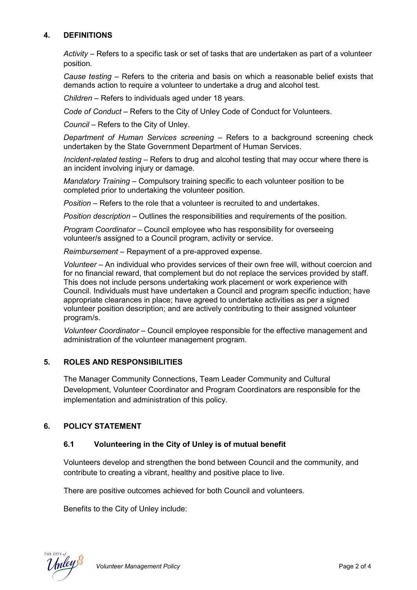## **4. DEFINITIONS**

*Activity* – Refers to a specific task or set of tasks that are undertaken as part of a volunteer position.

*Cause testing* – Refers to the criteria and basis on which a reasonable belief exists that demands action to require a volunteer to undertake a drug and alcohol test.

*Children* – Refers to individuals aged under 18 years.

*Code of Conduct* – Refers to the City of Unley Code of Conduct for Volunteers.

*Council* – Refers to the City of Unley.

*Department of Human Services screening* – Refers to a background screening check undertaken by the State Government Department of Human Services.

*Incident-related testing* – Refers to drug and alcohol testing that may occur where there is an incident involving injury or damage.

*Mandatory Training* – Compulsory training specific to each volunteer position to be completed prior to undertaking the volunteer position.

*Position* – Refers to the role that a volunteer is recruited to and undertakes.

*Position description* – Outlines the responsibilities and requirements of the position.

*Program Coordinator* – Council employee who has responsibility for overseeing volunteer/s assigned to a Council program, activity or service.

*Reimbursement* – Repayment of a pre-approved expense.

*Volunteer* – An individual who provides services of their own free will, without coercion and for no financial reward, that complement but do not replace the services provided by staff. This does not include persons undertaking work placement or work experience with Council. Individuals must have undertaken a Council and program specific induction; have appropriate clearances in place; have agreed to undertake activities as per a signed volunteer position description; and are actively contributing to their assigned volunteer program/s.

*Volunteer Coordinator* – Council employee responsible for the effective management and administration of the volunteer management program.

#### **5. ROLES AND RESPONSIBILITIES**

The Manager Community Connections, Team Leader Community and Cultural Development, Volunteer Coordinator and Program Coordinators are responsible for the implementation and administration of this policy.

#### **6. POLICY STATEMENT**

#### **6.1 Volunteering in the City of Unley is of mutual benefit**

Volunteers develop and strengthen the bond between Council and the community, and contribute to creating a vibrant, healthy and positive place to live.

There are positive outcomes achieved for both Council and volunteers.

Benefits to the City of Unley include: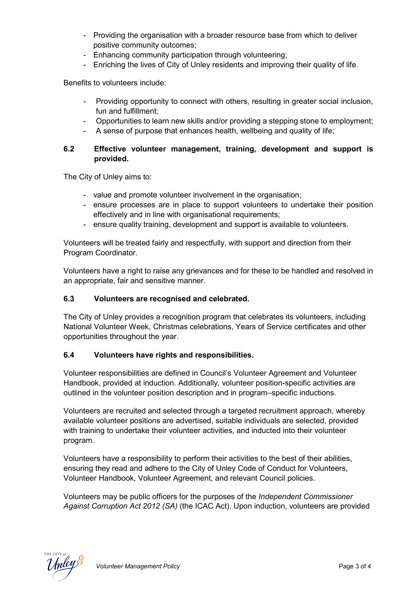- Providing the organisation with a broader resource base from which to deliver positive community outcomes;
- Enhancing community participation through volunteering;
- Enriching the lives of City of Unley residents and improving their quality of life.

Benefits to volunteers include:

- Providing opportunity to connect with others, resulting in greater social inclusion, fun and fulfillment;
- Opportunities to learn new skills and/or providing a stepping stone to employment;
- A sense of purpose that enhances health, wellbeing and quality of life;

### **6.2 Effective volunteer management, training, development and support is provided.**

The City of Unley aims to:

- value and promote volunteer involvement in the organisation;
- ensure processes are in place to support volunteers to undertake their position effectively and in line with organisational requirements;
- ensure quality training, development and support is available to volunteers.

Volunteers will be treated fairly and respectfully, with support and direction from their Program Coordinator.

Volunteers have a right to raise any grievances and for these to be handled and resolved in an appropriate, fair and sensitive manner.

### **6.3 Volunteers are recognised and celebrated.**

The City of Unley provides a recognition program that celebrates its volunteers, including National Volunteer Week, Christmas celebrations, Years of Service certificates and other opportunities throughout the year.

## **6.4 Volunteers have rights and responsibilities.**

Volunteer responsibilities are defined in Council's Volunteer Agreement and Volunteer Handbook, provided at induction. Additionally, volunteer position-specific activities are outlined in the volunteer position description and in program–specific inductions.

Volunteers are recruited and selected through a targeted recruitment approach, whereby available volunteer positions are advertised, suitable individuals are selected, provided with training to undertake their volunteer activities, and inducted into their volunteer program.

Volunteers have a responsibility to perform their activities to the best of their abilities, ensuring they read and adhere to the City of Unley Code of Conduct for Volunteers, Volunteer Handbook, Volunteer Agreement, and relevant Council policies.

Volunteers may be public officers for the purposes of the *Independent Commissioner Against Corruption Act 2012 (SA)* (the ICAC Act). Upon induction, volunteers are provided